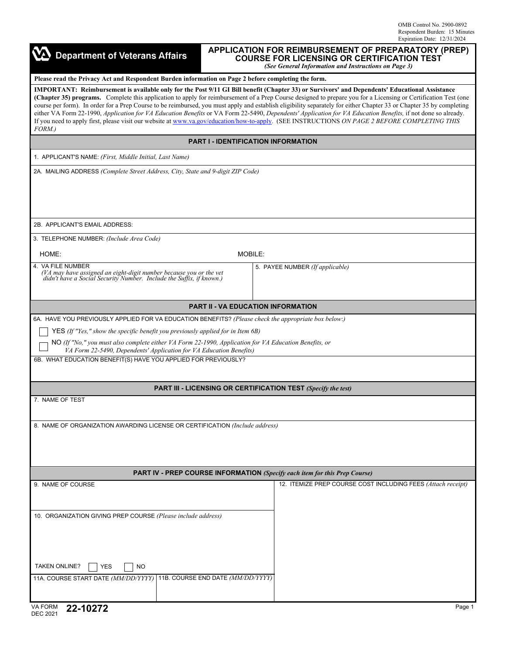| <b>APPLICATION FOR REIMBURSEMENT OF PREPARATORY (PREP)</b><br><b>Department of Veterans Affairs</b><br><b>COURSE FOR LICENSING OR CERTIFICATION TEST</b><br>(See General Information and Instructions on Page 3)                               |                                                                                                                                                                                                                                                                                                                                                                                                                                                                                                                                                                                                                                                                                                                                                                                                            |  |  |  |
|------------------------------------------------------------------------------------------------------------------------------------------------------------------------------------------------------------------------------------------------|------------------------------------------------------------------------------------------------------------------------------------------------------------------------------------------------------------------------------------------------------------------------------------------------------------------------------------------------------------------------------------------------------------------------------------------------------------------------------------------------------------------------------------------------------------------------------------------------------------------------------------------------------------------------------------------------------------------------------------------------------------------------------------------------------------|--|--|--|
| Please read the Privacy Act and Respondent Burden information on Page 2 before completing the form.                                                                                                                                            |                                                                                                                                                                                                                                                                                                                                                                                                                                                                                                                                                                                                                                                                                                                                                                                                            |  |  |  |
| FORM.)                                                                                                                                                                                                                                         | IMPORTANT: Reimbursement is available only for the Post 9/11 GI Bill benefit (Chapter 33) or Survivors' and Dependents' Educational Assistance<br>(Chapter 35) programs. Complete this application to apply for reimbursement of a Prep Course designed to prepare you for a Licensing or Certification Test (one<br>course per form). In order for a Prep Course to be reimbursed, you must apply and establish eligibility separately for either Chapter 33 or Chapter 35 by completing<br>either VA Form 22-1990, Application for VA Education Benefits or VA Form 22-5490, Dependents' Application for VA Education Benefits, if not done so already.<br>If you need to apply first, please visit our website at www.va.gov/education/how-to-apply. (SEE INSTRUCTIONS ON PAGE 2 BEFORE COMPLETING THIS |  |  |  |
|                                                                                                                                                                                                                                                | <b>PART I - IDENTIFICATION INFORMATION</b>                                                                                                                                                                                                                                                                                                                                                                                                                                                                                                                                                                                                                                                                                                                                                                 |  |  |  |
| 1. APPLICANT'S NAME: (First, Middle Initial, Last Name)                                                                                                                                                                                        |                                                                                                                                                                                                                                                                                                                                                                                                                                                                                                                                                                                                                                                                                                                                                                                                            |  |  |  |
| 2A. MAILING ADDRESS (Complete Street Address, City, State and 9-digit ZIP Code)                                                                                                                                                                |                                                                                                                                                                                                                                                                                                                                                                                                                                                                                                                                                                                                                                                                                                                                                                                                            |  |  |  |
| 2B. APPLICANT'S EMAIL ADDRESS:                                                                                                                                                                                                                 |                                                                                                                                                                                                                                                                                                                                                                                                                                                                                                                                                                                                                                                                                                                                                                                                            |  |  |  |
| 3. TELEPHONE NUMBER: (Include Area Code)                                                                                                                                                                                                       |                                                                                                                                                                                                                                                                                                                                                                                                                                                                                                                                                                                                                                                                                                                                                                                                            |  |  |  |
| HOME:                                                                                                                                                                                                                                          | MOBILE:                                                                                                                                                                                                                                                                                                                                                                                                                                                                                                                                                                                                                                                                                                                                                                                                    |  |  |  |
| 4. VA FILE NUMBER<br>(VA may have assigned an eight-digit number because you or the vet<br>didn't have a Social Security Number. Include the Suffix, if known.)                                                                                | 5. PAYEE NUMBER (If applicable)                                                                                                                                                                                                                                                                                                                                                                                                                                                                                                                                                                                                                                                                                                                                                                            |  |  |  |
|                                                                                                                                                                                                                                                | <b>PART II - VA EDUCATION INFORMATION</b>                                                                                                                                                                                                                                                                                                                                                                                                                                                                                                                                                                                                                                                                                                                                                                  |  |  |  |
| 6A. HAVE YOU PREVIOUSLY APPLIED FOR VA EDUCATION BENEFITS? (Please check the appropriate box below:)                                                                                                                                           |                                                                                                                                                                                                                                                                                                                                                                                                                                                                                                                                                                                                                                                                                                                                                                                                            |  |  |  |
| YES (If "Yes," show the specific benefit you previously applied for in Item 6B)                                                                                                                                                                |                                                                                                                                                                                                                                                                                                                                                                                                                                                                                                                                                                                                                                                                                                                                                                                                            |  |  |  |
| NO (If "No," you must also complete either VA Form 22-1990, Application for VA Education Benefits, or<br>VA Form 22-5490, Dependents' Application for VA Education Benefits)<br>6B. WHAT EDUCATION BENEFIT(S) HAVE YOU APPLIED FOR PREVIOUSLY? |                                                                                                                                                                                                                                                                                                                                                                                                                                                                                                                                                                                                                                                                                                                                                                                                            |  |  |  |
|                                                                                                                                                                                                                                                |                                                                                                                                                                                                                                                                                                                                                                                                                                                                                                                                                                                                                                                                                                                                                                                                            |  |  |  |
|                                                                                                                                                                                                                                                | <b>PART III - LICENSING OR CERTIFICATION TEST (Specify the test)</b>                                                                                                                                                                                                                                                                                                                                                                                                                                                                                                                                                                                                                                                                                                                                       |  |  |  |
| 7. NAME OF TEST                                                                                                                                                                                                                                |                                                                                                                                                                                                                                                                                                                                                                                                                                                                                                                                                                                                                                                                                                                                                                                                            |  |  |  |
| 8. NAME OF ORGANIZATION AWARDING LICENSE OR CERTIFICATION (Include address)                                                                                                                                                                    |                                                                                                                                                                                                                                                                                                                                                                                                                                                                                                                                                                                                                                                                                                                                                                                                            |  |  |  |
|                                                                                                                                                                                                                                                | PART IV - PREP COURSE INFORMATION (Specify each item for this Prep Course)                                                                                                                                                                                                                                                                                                                                                                                                                                                                                                                                                                                                                                                                                                                                 |  |  |  |
| 9. NAME OF COURSE                                                                                                                                                                                                                              | 12. ITEMIZE PREP COURSE COST INCLUDING FEES (Attach receipt)                                                                                                                                                                                                                                                                                                                                                                                                                                                                                                                                                                                                                                                                                                                                               |  |  |  |
| 10. ORGANIZATION GIVING PREP COURSE (Please include address)                                                                                                                                                                                   |                                                                                                                                                                                                                                                                                                                                                                                                                                                                                                                                                                                                                                                                                                                                                                                                            |  |  |  |
| <b>TAKEN ONLINE?</b><br><b>YES</b><br><b>NO</b>                                                                                                                                                                                                |                                                                                                                                                                                                                                                                                                                                                                                                                                                                                                                                                                                                                                                                                                                                                                                                            |  |  |  |
| 11A. COURSE START DATE (MM/DD/YYYY) 11B. COURSE END DATE (MM/DD/YYYY)                                                                                                                                                                          |                                                                                                                                                                                                                                                                                                                                                                                                                                                                                                                                                                                                                                                                                                                                                                                                            |  |  |  |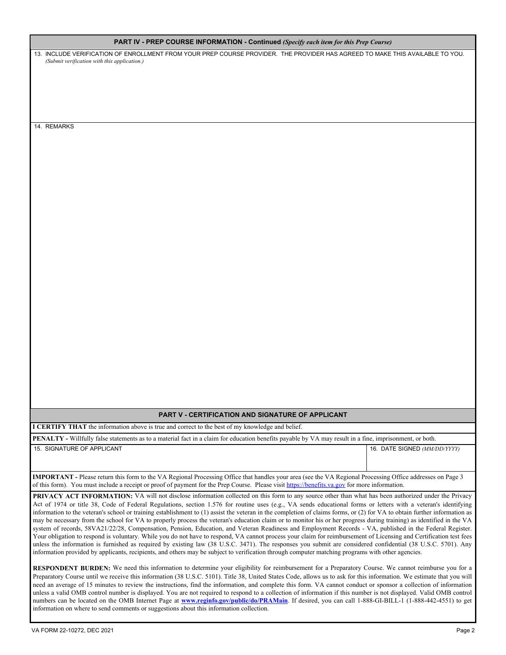| PART IV - PREP COURSE INFORMATION - Continued (Specify each item for this Prep Course) |  |  |  |  |
|----------------------------------------------------------------------------------------|--|--|--|--|
|----------------------------------------------------------------------------------------|--|--|--|--|

13. INCLUDE VERIFICATION OF ENROLLMENT FROM YOUR PREP COURSE PROVIDER. THE PROVIDER HAS AGREED TO MAKE THIS AVAILABLE TO YOU*. (Submit verification with this application.)*

14. REMARKS

## **PART V - CERTIFICATION AND SIGNATURE OF APPLICANT**

**I CERTIFY THAT** the information above is true and correct to the best of my knowledge and belief.

**PENALTY -** Willfully false statements as to a material fact in a claim for education benefits payable by VA may result in a fine, imprisonment, or both. 15. SIGNATURE OF APPLICANT 16. DATE SIGNED *(MM/DD/YYYY)*

**IMPORTANT -** Please return this form to the VA Regional Processing Office that handles your area (see the VA Regional Processing Office addresses on Page 3 of this form). You must include a receipt or proof of payment for the Prep Course. Please visit <https://benefits.va.gov> for more information.

PRIVACY ACT INFORMATION: VA will not disclose information collected on this form to any source other than what has been authorized under the Privacy Act of 1974 or title 38, Code of Federal Regulations, section 1.576 for routine uses (e.g., VA sends educational forms or letters with a veteran's identifying information to the veteran's school or training establishment to (1) assist the veteran in the completion of claims forms, or (2) for VA to obtain further information as may be necessary from the school for VA to properly process the veteran's education claim or to monitor his or her progress during training) as identified in the VA system of records, 58VA21/22/28, Compensation, Pension, Education, and Veteran Readiness and Employment Records - VA, published in the Federal Register. Your obligation to respond is voluntary. While you do not have to respond, VA cannot process your claim for reimbursement of Licensing and Certification test fees unless the information is furnished as required by existing law (38 U.S.C. 3471). The responses you submit are considered confidential (38 U.S.C. 5701). Any information provided by applicants, recipients, and others may be subject to verification through computer matching programs with other agencies.

RESPONDENT BURDEN: We need this information to determine your eligibility for reimbursement for a Preparatory Course. We cannot reimburse you for a Preparatory Course until we receive this information (38 U.S.C. 5101). Title 38, United States Code, allows us to ask for this information. We estimate that you will need an average of 15 minutes to review the instructions, find the information, and complete this form. VA cannot conduct or sponsor a collection of information unless a valid OMB control number is displayed. You are not required to respond to a collection of information if this number is not displayed. Valid OMB control numbers can be located on the OMB Internet Page at **[www.reginfo.gov/public/do/PRAMain](http://www.reginfo.gov/public/do/PRAMain)**. If desired, you can call 1-888-GI-BILL-1 (1-888-442-4551) to get information on where to send comments or suggestions about this information collection.